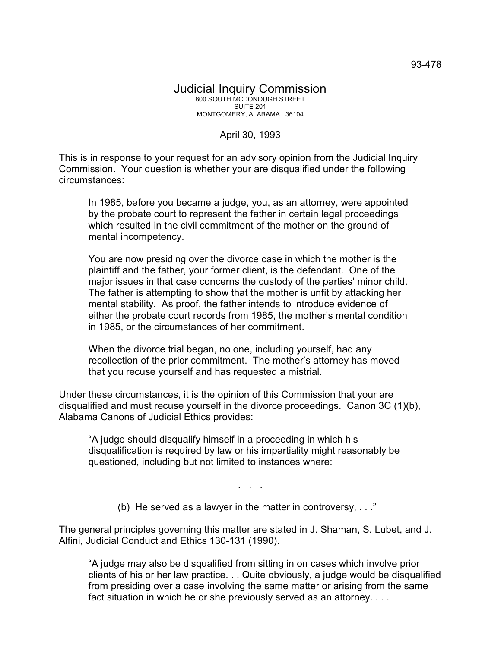## Judicial Inquiry Commission 800 SOUTH MCDONOUGH STREET SUITE 201 MONTGOMERY, ALABAMA 36104

## April 30, 1993

This is in response to your request for an advisory opinion from the Judicial Inquiry Commission. Your question is whether your are disqualified under the following circumstances:

In 1985, before you became a judge, you, as an attorney, were appointed by the probate court to represent the father in certain legal proceedings which resulted in the civil commitment of the mother on the ground of mental incompetency.

You are now presiding over the divorce case in which the mother is the plaintiff and the father, your former client, is the defendant. One of the major issues in that case concerns the custody of the parties' minor child. The father is attempting to show that the mother is unfit by attacking her mental stability. As proof, the father intends to introduce evidence of either the probate court records from 1985, the mother's mental condition in 1985, or the circumstances of her commitment.

When the divorce trial began, no one, including yourself, had any recollection of the prior commitment. The mother's attorney has moved that you recuse yourself and has requested a mistrial.

Under these circumstances, it is the opinion of this Commission that your are disqualified and must recuse yourself in the divorce proceedings. Canon 3C (1)(b), Alabama Canons of Judicial Ethics provides:

"A judge should disqualify himself in a proceeding in which his disqualification is required by law or his impartiality might reasonably be questioned, including but not limited to instances where:

(b) He served as a lawyer in the matter in controversy, . . ."

. . .

The general principles governing this matter are stated in J. Shaman, S. Lubet, and J. Alfini, Judicial Conduct and Ethics 130-131 (1990).

"A judge may also be disqualified from sitting in on cases which involve prior clients of his or her law practice. . . Quite obviously, a judge would be disqualified from presiding over a case involving the same matter or arising from the same fact situation in which he or she previously served as an attorney. . . .